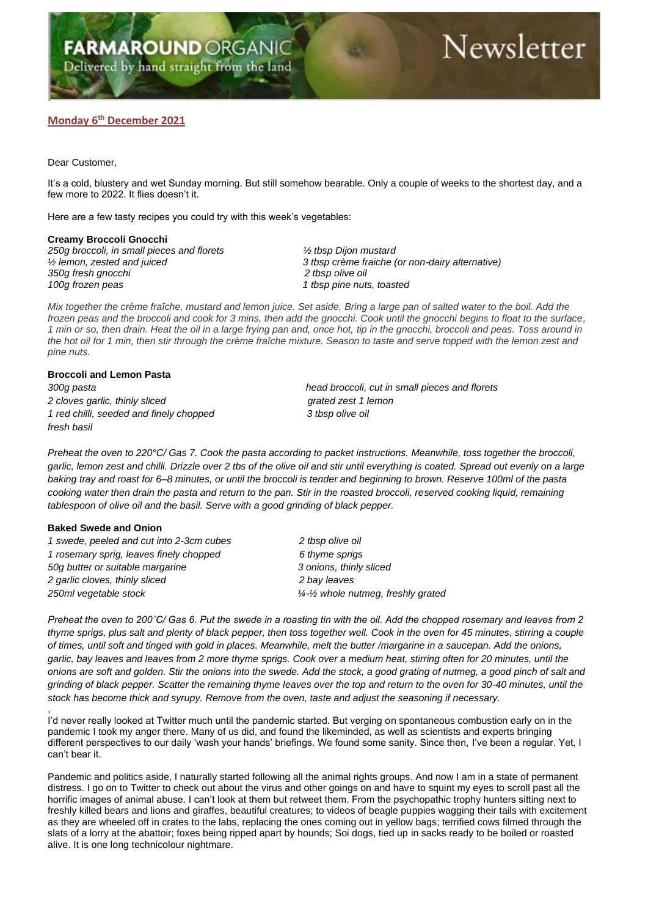# Newsletter

## **Monday 6 th December 2021**

Dear Customer,

It's a cold, blustery and wet Sunday morning. But still somehow bearable. Only a couple of weeks to the shortest day, and a few more to 2022. It flies doesn't it.

Here are a few tasty recipes you could try with this week's vegetables:

#### **Creamy Broccoli Gnocchi**

*250g broccoli, in small pieces and florets ½ tbsp Dijon mustard 350g fresh gnocchi 2 tbsp olive oil 100g frozen peas 1 tbsp pine nuts, toasted*

*½ lemon, zested and juiced 3 tbsp crème fraiche (or non-dairy alternative)*

*Mix together the crème fraîche, mustard and lemon juice. Set aside. Bring a large pan of salted water to the boil. Add the frozen peas and the broccoli and cook for 3 mins, then add the gnocchi. Cook until the gnocchi begins to float to the surface, 1 min or so, then drain. Heat the oil in a large frying pan and, once hot, tip in the gnocchi, broccoli and peas. Toss around in the hot oil for 1 min, then stir through the crème fraîche mixture. Season to taste and serve topped with the lemon zest and pine nuts.*

### **Broccoli and Lemon Pasta**

*2 cloves garlic, thinly sliced grated zest 1 lemon 1 red chilli, seeded and finely chopped 3 tbsp olive oil fresh basil*

*300g pasta head broccoli, cut in small pieces and florets*

*Preheat the oven to 220°C/ Gas 7. Cook the pasta according to packet instructions. Meanwhile, toss together the broccoli, garlic, lemon zest and chilli. Drizzle over 2 tbs of the olive oil and stir until everything is coated. Spread out evenly on a large baking tray and roast for 6–8 minutes, or until the broccoli is tender and beginning to brown. Reserve 100ml of the pasta cooking water then drain the pasta and return to the pan. Stir in the roasted broccoli, reserved cooking liquid, remaining tablespoon of olive oil and the basil. Serve with a good grinding of black pepper.*

#### **Baked Swede and Onion**

,

*1 swede, peeled and cut into 2-3cm cubes 2 tbsp olive oil 1 rosemary sprig, leaves finely chopped 6 thyme sprigs 50g butter or suitable margarine 3 onions, thinly sliced 2 garlic cloves, thinly sliced 2 bay leaves 250ml vegetable stock ¼-½ whole nutmeg, freshly grated*

*Preheat the oven to 200˚C/ Gas 6. Put the swede in a roasting tin with the oil. Add the chopped rosemary and leaves from 2 thyme sprigs, plus salt and plenty of black pepper, then toss together well. Cook in the oven for 45 minutes, stirring a couple of times, until soft and tinged with gold in places. Meanwhile, melt the butter /margarine in a saucepan. Add the onions, garlic, bay leaves and leaves from 2 more thyme sprigs. Cook over a medium heat, stirring often for 20 minutes, until the onions are soft and golden. Stir the onions into the swede. Add the stock, a good grating of nutmeg, a good pinch of salt and grinding of black pepper. Scatter the remaining thyme leaves over the top and return to the oven for 30-40 minutes, until the stock has become thick and syrupy. Remove from the oven, taste and adjust the seasoning if necessary.*

I'd never really looked at Twitter much until the pandemic started. But verging on spontaneous combustion early on in the pandemic I took my anger there. Many of us did, and found the likeminded, as well as scientists and experts bringing different perspectives to our daily 'wash your hands' briefings. We found some sanity. Since then, I've been a regular. Yet, I can't bear it.

Pandemic and politics aside, I naturally started following all the animal rights groups. And now I am in a state of permanent distress. I go on to Twitter to check out about the virus and other goings on and have to squint my eyes to scroll past all the horrific images of animal abuse. I can't look at them but retweet them. From the psychopathic trophy hunters sitting next to freshly killed bears and lions and giraffes, beautiful creatures; to videos of beagle puppies wagging their tails with excitement as they are wheeled off in crates to the labs, replacing the ones coming out in yellow bags; terrified cows filmed through the slats of a lorry at the abattoir; foxes being ripped apart by hounds; Soi dogs, tied up in sacks ready to be boiled or roasted alive. It is one long technicolour nightmare.